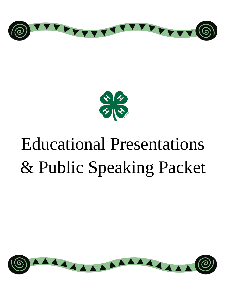



# Educational Presentations & Public Speaking Packet

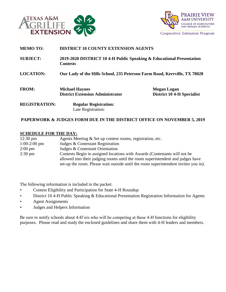



| <b>MEMO TO:</b>      | <b>DISTRICT 10 COUNTY EXTENSION AGENTS</b>                                              |                                                         |  |  |  |
|----------------------|-----------------------------------------------------------------------------------------|---------------------------------------------------------|--|--|--|
| <b>SUBJECT:</b>      | 2019-2020 DISTRICT 10 4-H Public Speaking & Educational Presentation<br><b>Contests</b> |                                                         |  |  |  |
| <b>LOCATION:</b>     | Our Lady of the Hills School, 235 Peterson Farm Road, Kerrville, TX 78028               |                                                         |  |  |  |
| <b>FROM:</b>         | <b>Michael Haynes</b><br><b>District Extension Administrator</b>                        | <b>Megan Logan</b><br><b>District 10 4-H Specialist</b> |  |  |  |
| <b>REGISTRATION:</b> | <b>Regular Registration:</b><br>Late Registration:                                      |                                                         |  |  |  |

# **PAPERWORK & JUDGES FORM DUE IN THE DISTRICT OFFICE ON NOVEMBER 5, 2019**

#### **SCHEDULE FOR THE DAY:**

| $12:30 \text{ pm}$ | Agents Meeting & Set up contest rooms, registration, etc.                           |
|--------------------|-------------------------------------------------------------------------------------|
| $1:00-2:00$ pm     | Judges & Contestant Registration                                                    |
| $2:00 \text{ pm}$  | Judges & Contestant Orientation                                                     |
| $2:30 \text{ pm}$  | Contests Begin in assigned locations with Awards (Contestants will not be           |
|                    | allowed into their judging rooms until the room superintendent and judges have      |
|                    | set-up the room. Please wait outside until the room superintendent invites you in). |

The following information is included in the packet:

- Contest Eligibility and Participation for State 4-H Roundup
- District 10 4-H Public Speaking & Educational Presentation Registration Information for Agents
- Agent Assignments
- Judges and Helpers Information

Be sure to notify schools about 4-H'ers who will be competing at these 4-H functions for eligibility purposes. Please read and study the enclosed guidelines and share them with 4-H leaders and members.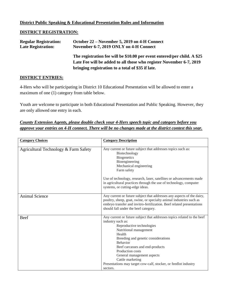## **District Public Speaking & Educational Presentation Rules and Information**

#### **DISTRICT REGISTRATION:**

| <b>Regular Registration:</b> | October 22 – November 5, 2019 on 4-H Connect                             |
|------------------------------|--------------------------------------------------------------------------|
| <b>Late Registration:</b>    | November 6-7, 2019 ONLY on 4-H Connect                                   |
|                              | The registration fee will be \$10.00 per event entered/per child. A \$25 |
|                              | Late Fee will be added to all those who register November 6-7, 2019      |
|                              | bringing registration to a total of \$35 if late.                        |

## **DISTRICT ENTRIES:**

4-Hers who will be participating in District 10 Educational Presentation will be allowed to enter a maximum of one (1) category from table below.

Youth are welcome to participate in both Educational Presentation and Public Speaking. However, they are only allowed one entry in each.

# *County Extension Agents, please double check your 4-Hers speech topic and category before you approve your entries on 4-H connect. There will be no changes made at the district contest this year.*

| <b>Category Choices</b>               | <b>Category Description</b>                                                                                                                                                                                                                                                                                                                                                                                     |  |
|---------------------------------------|-----------------------------------------------------------------------------------------------------------------------------------------------------------------------------------------------------------------------------------------------------------------------------------------------------------------------------------------------------------------------------------------------------------------|--|
| Agricultural Technology & Farm Safety | Any current or future subject that addresses topics such as:<br>Biotechnology<br><b>Biogenetics</b><br>Bioengineering<br>Mechanical engineering<br>Farm safety<br>Use of technology, research, laser, satellites or advancements made<br>in agricultural practices through the use of technology, computer<br>systems, or cutting-edge ideas.                                                                   |  |
| <b>Animal Science</b>                 | Any current or future subject that addresses any aspects of the dairy,<br>poultry, sheep, goat, swine, or specialty animal industries such as<br>embryo transfer and invitro-fertilization. Beef related presentations<br>should fall under the beef category.                                                                                                                                                  |  |
| Beef                                  | Any current or future subject that addresses topics related to the beef<br>industry such as:<br>Reproductive technologies<br>Nutritional management<br>Health<br>Breeding and genetic considerations<br><b>Behavior</b><br>Beef carcasses and end-products<br>Production costs<br>General management aspects<br>Cattle marketing<br>Presentations may target cow-calf, stocker, or feedlot industry<br>sectors. |  |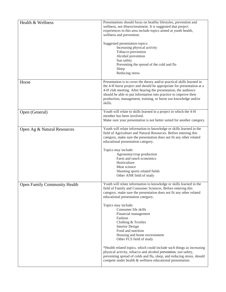| Health & Wellness                   | Presentations should focus on healthy lifestyles, prevention and<br>wellness, not illness/treatment. It is suggested that project<br>experiences in this area include topics aimed at youth health,<br>wellness and prevention.<br>Suggested presentation topics:<br>Increasing physical activity<br>Tobacco prevention<br>Alcohol prevention<br>Sun safety<br>Preventing the spread of the cold and flu<br>Sleep                                                                                                                                                                                                                                                                                                                                      |  |  |  |
|-------------------------------------|--------------------------------------------------------------------------------------------------------------------------------------------------------------------------------------------------------------------------------------------------------------------------------------------------------------------------------------------------------------------------------------------------------------------------------------------------------------------------------------------------------------------------------------------------------------------------------------------------------------------------------------------------------------------------------------------------------------------------------------------------------|--|--|--|
|                                     | Reducing stress                                                                                                                                                                                                                                                                                                                                                                                                                                                                                                                                                                                                                                                                                                                                        |  |  |  |
| Horse                               | Presentation is to cover the theory and/or practical skills learned in<br>the 4-H horse project and should be appropriate for presentation at a<br>4-H club meeting. After hearing the presentation, the audience<br>should be able to put information into practice to improve their<br>production, management, training, or horse use knowledge and/or<br>skills.                                                                                                                                                                                                                                                                                                                                                                                    |  |  |  |
| Open (General)                      | Youth will relate to skills learned in a project in which the 4-H<br>member has been involved.<br>Make sure your presentation is not better suited for another category.                                                                                                                                                                                                                                                                                                                                                                                                                                                                                                                                                                               |  |  |  |
| Open Ag & Natural Resources         | Youth will relate information to knowledge or skills learned in the<br>field of Agriculture and Natural Resources. Before entering this<br>category, make sure the presentation does not fit any other related<br>educational presentation category.<br>Topics may include:<br>Agronomy/crop production<br>Farm and ranch economics<br>Horticulture<br>Meat science<br>Shooting sports related fields<br>Other ANR field of study                                                                                                                                                                                                                                                                                                                      |  |  |  |
| <b>Open Family Community Health</b> | Youth will relate information to knowledge or skills learned in the<br>field of Family and Consumer Sciences. Before entering this<br>category, make sure the presentation does not fit any other related<br>educational presentation category.<br>Topics may include:<br>Consumer life skills<br>Financial management<br>Fashion<br>Clothing & Textiles<br><b>Interior Design</b><br>Food and nutrition<br>Housing and home environment<br>Other FCS field of study<br>*Health related topics, which could include such things as increasing<br>physical activity, tobacco and alcohol prevention, sun safety,<br>preventing spread of colds and flu, sleep, and reducing stress, should<br>compete under health & wellness educational presentation. |  |  |  |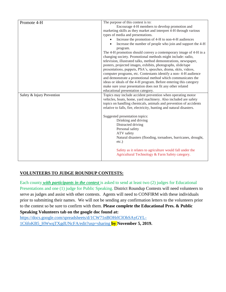| Promote 4-H                | The purpose of this contest is to:                                                                          |  |  |
|----------------------------|-------------------------------------------------------------------------------------------------------------|--|--|
|                            | Encourage 4-H members to develop promotion and                                                              |  |  |
|                            | marketing skills as they market and interpret 4-H through various                                           |  |  |
|                            | types of media and presentations.                                                                           |  |  |
|                            | Increase the promotion of 4-H to non-4-H audiences                                                          |  |  |
|                            | Increase the number of people who join and support the 4-H                                                  |  |  |
|                            | program.                                                                                                    |  |  |
|                            | The 4-H promotion should convey a contemporary image of 4-H in a                                            |  |  |
|                            | changing society. Promotional methods might include: radio,                                                 |  |  |
|                            | television, illustrated talks, method demonstrations, newspaper,                                            |  |  |
|                            | posters, projected images, exhibits, photographs, slide/tape                                                |  |  |
|                            | presentations, puppets, PSA's, speeches, drama, skits, videos,                                              |  |  |
|                            | computer programs, etc. Contestants identify a non-4-H audience                                             |  |  |
|                            | and demonstrate a promotional method which communicates the                                                 |  |  |
|                            | ideas or ideals of the 4-H program. Before entering this category                                           |  |  |
|                            | make sure your presentation does not fit any other related                                                  |  |  |
|                            |                                                                                                             |  |  |
|                            | educational presentation category.                                                                          |  |  |
| Safety & Injury Prevention | Topics may include accident prevention when operating motor                                                 |  |  |
|                            | vehicles, boats, home, yard machinery. Also included are safety                                             |  |  |
|                            | topics on handling chemicals, animals and prevention of accidents                                           |  |  |
|                            | relative to falls, fire, electricity, hunting and natural disasters.                                        |  |  |
|                            | Suggested presentation topics:                                                                              |  |  |
|                            | Drinking and driving                                                                                        |  |  |
|                            |                                                                                                             |  |  |
|                            | Distracted driving                                                                                          |  |  |
|                            | Personal safety                                                                                             |  |  |
|                            | ATV safety                                                                                                  |  |  |
|                            | Natural disasters (flooding, tornadoes, hurricanes, drought,<br>$etc.$ )                                    |  |  |
|                            | Safety as it relates to agriculture would fall under the<br>Agricultural Technology & Farm Safety category. |  |  |
|                            |                                                                                                             |  |  |

# **VOLUNTEERS TO JUDGE ROUNDUP CONTESTS:**

Each county *with participants in the contest* is asked to send at least two (2) judges for Educational Presentations and one (1) judge for Public Speaking. District Roundup Contests will need volunteers to serve as judges and assist with other contests. Agents will need to CONFIRM with these individuals prior to submitting their names. We will not be sending any confirmation letters to the volunteers prior to the contest so be sure to confirm with them. **Please complete the Educational Pres. & Public Speaking Volunteers tab on the google doc found at:** 

[https://docs.google.com/spreadsheets/d/1CW71nBOHrlClOhSAyGYL-](https://docs.google.com/spreadsheets/d/1CW71nBOHrlClOhSAyGYL-1C6foKB5_HWwqTXgdUNcFA/edit?usp=sharing)[1C6foKB5\\_HWwqTXgdUNcFA/edit?usp=sharing](https://docs.google.com/spreadsheets/d/1CW71nBOHrlClOhSAyGYL-1C6foKB5_HWwqTXgdUNcFA/edit?usp=sharing) **by November 5, 2019.**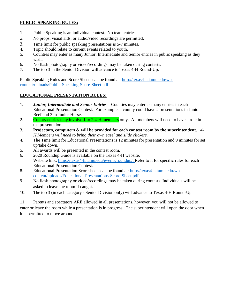# **PUBLIC SPEAKING RULES:**

- 1. Public Speaking is an individual contest. No team entries.
- 2. No props, visual aids, or audio/video recordings are permitted.
- 3. Time limit for public speaking presentations is 5-7 minutes.
- 4. Topic should relate to current events related to youth.
- 5. Counties may enter as many Junior, Intermediate and Senior entries in public speaking as they wish.
- 6. No flash photography or video/recordings may be taken during contests.
- 7. The top 3 in the Senior Division will advance to Texas 4-H Round-Up.

Public Speaking Rules and Score Sheets can be found at: [http://texas4-h.tamu.edu/wp](http://texas4-h.tamu.edu/wp-content/uploads/Public-Speaking-Score-Sheet.pdf)[content/uploads/Public-Speaking-Score-Sheet.pdf](http://texas4-h.tamu.edu/wp-content/uploads/Public-Speaking-Score-Sheet.pdf)

### **EDUCATIONAL PRESENTATION RULES:**

- 1. *Junior, Intermediate and Senior Entries*  Counties may enter as many entries in each Educational Presentation Contest. For example, a county could have 2 presentations in Junior Beef and 3 in Junior Horse.
- 2. County entries may involve 1 to 24-H members only. All members will need to have a role in the presentation.
- 3. **Projectors, computers & will be provided for each contest room by the superintendent.** *4- H Members will need to bring their own easel and slide clickers.*
- 4. The Time limit for Educational Presentations is 12 minutes for presentation and 9 minutes for set up/take down.
- 5. All awards will be presented in the contest room.
- 6. 2020 Roundup Guide is available on the Texas 4-H website. Website link: [https://texas4-h.tamu.edu/events/roundup/.](https://texas4-h.tamu.edu/events/roundup/) Refer to it for specific rules for each Educational Presentation Contest.
- 8. Educational Presentation Scoresheets can be found at: [http://texas4-h.tamu.edu/wp](http://texas4-h.tamu.edu/wp-content/uploads/Educational-Presentations-Score-Sheet.pdf)[content/uploads/Educational-Presentations-Score-Sheet.pdf](http://texas4-h.tamu.edu/wp-content/uploads/Educational-Presentations-Score-Sheet.pdf)
- 9. No flash photography or video/recordings may be taken during contests. Individuals will be asked to leave the room if caught.
- 10. The top 3 (in each category Senior Division only) will advance to Texas 4-H Round-Up.

11. Parents and spectators ARE allowed in all presentations, however, you will not be allowed to enter or leave the room while a presentation is in progress. The superintendent will open the door when it is permitted to move around.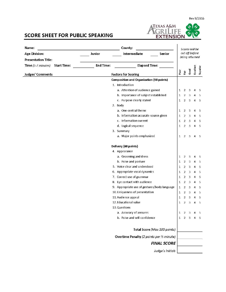

# **SCORE SHEET FOR PUBLIC SPEAKING**

| County:<br>Name:                         |                                      | Scores will be                                  |              |                                  |                         |                |          |  |
|------------------------------------------|--------------------------------------|-------------------------------------------------|--------------|----------------------------------|-------------------------|----------------|----------|--|
| <b>Age Division:</b>                     | Intermediate<br>Junior<br>Senior     |                                                 |              | cut off before<br>being returned |                         |                |          |  |
| <b>Presentation Title:</b>               |                                      |                                                 |              |                                  |                         |                |          |  |
| Time (5-7 minutes)<br><b>Start Time:</b> | <b>End Time:</b>                     | <b>Elapsed Time:</b>                            |              |                                  |                         |                |          |  |
| <b>Judges' Comments</b>                  | <b>Factors for Scoring</b>           |                                                 | Poor         | È                                | Good                    | Excellent      | Superior |  |
|                                          |                                      | <b>Composition and Organization (40 points)</b> |              |                                  |                         |                |          |  |
|                                          | 1. Introduction                      |                                                 |              |                                  |                         |                |          |  |
|                                          |                                      | a. Attention of audience gained                 | $\mathbf{1}$ | $\overline{2}$                   | 3                       | 4              | -5       |  |
|                                          | b. Importance of subject established |                                                 | $\mathbf{1}$ | 2                                | $\overline{3}$          | 4              | 5        |  |
|                                          |                                      | c. Purpose clearly stated                       | $\mathbf{1}$ | $\overline{2}$                   | $\overline{\mathbf{3}}$ | 4              | 5        |  |
|                                          |                                      | 2. Body                                         |              |                                  |                         |                |          |  |
|                                          |                                      | a. One central theme                            | $\mathbf{1}$ | $\overline{2}$                   | 3                       | 4              | 5        |  |
|                                          |                                      | b. Information accurate-source given            | $\mathbf{1}$ | $\overline{2}$                   | 3                       | 4              | 5        |  |
|                                          |                                      | c. Information current                          | $\mathbf{1}$ | $\overline{2}$                   | 3                       | 4              | 5        |  |
|                                          |                                      | d. Logical sequence                             | $\mathbf{1}$ | $\overline{2}$                   | $\overline{\mathbf{3}}$ | 4              | 5        |  |
|                                          |                                      | 3. Summary                                      |              |                                  |                         |                |          |  |
|                                          |                                      | a. Major points emphasized                      | $\mathbf{1}$ | $\overline{2}$                   | $\mathbf{3}$            | 4              | -5       |  |
|                                          |                                      | Delivery (60 points)                            |              |                                  |                         |                |          |  |
|                                          |                                      | 4. Appearance                                   |              |                                  |                         |                |          |  |
|                                          |                                      | a. Grooming and dress                           | $\mathbf{1}$ | 2                                | 3                       | 4              | 5        |  |
|                                          |                                      | b. Poise and posture                            | $\mathbf{1}$ | $\overline{2}$                   | 3                       | 4              | 5        |  |
|                                          |                                      | 5. Voice clear and understood                   | 1            | $\overline{2}$                   | 3                       | $\overline{4}$ | 5        |  |
|                                          |                                      | 6. Appropriate vocal dynamics                   | $\mathbf{1}$ | $\overline{2}$                   | $\mathbf{3}$            | 4              | 5        |  |
|                                          |                                      | 7. Correct use of grammar                       | $\mathbf{1}$ | $\overline{2}$                   | 3                       | 4              | 5        |  |
|                                          |                                      | 8. Eye contact with audience                    | $\mathbf{1}$ | $\overline{2}$                   | 3                       | 4              | 5        |  |
|                                          |                                      | 9. Appropriate use of gestures/body language    | $\mathbf{1}$ | $\overline{2}$                   | 3                       | 4              | 5        |  |
|                                          |                                      | 10. Uniqueness of presentation                  | 1            | 2                                | 3                       | 4              | 5        |  |
|                                          |                                      | 11. Audience appeal                             | $\mathbf{1}$ | 2                                | $\overline{3}$          | 4              | 5        |  |
|                                          |                                      | 12. Educational value                           | 1            | $\overline{2}$                   | $\overline{3}$          | 4              | 5        |  |
|                                          |                                      | 13. Questions                                   |              |                                  |                         |                |          |  |
|                                          |                                      | a. Accuracy of answers                          | $\mathbf{1}$ | 2                                | -3                      | 4              | 5        |  |
|                                          |                                      | b. Poise and self-confidence                    |              | $1\quad 2$                       | $\overline{\mathbf{3}}$ | 4              | -5       |  |
|                                          |                                      | Total Score (Max 100 points)                    |              |                                  |                         |                |          |  |
|                                          |                                      |                                                 |              |                                  |                         |                |          |  |
|                                          |                                      | Overtime Penalty (2 points per 1/2 minute)      |              |                                  |                         |                |          |  |
|                                          |                                      | <b>FINAL SCORE</b>                              |              |                                  |                         |                |          |  |
|                                          |                                      | Judge's Initials                                |              |                                  |                         |                |          |  |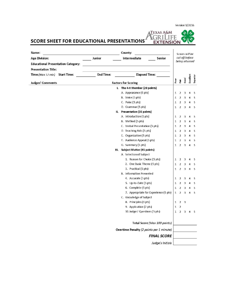Version 9/2016

 $\hat{\bm{\gamma}}$ 

ィ

**TEXAS A&M** 

**GRILIFE**<br>EXTENSION

SCORE SHEET FOR EDUCATIONAL PRESENTATIONS

| Name:                                                    |                                        |                                  | County:                                  |              |                |                           |                |          |
|----------------------------------------------------------|----------------------------------------|----------------------------------|------------------------------------------|--------------|----------------|---------------------------|----------------|----------|
| Junior<br>Senior<br><b>Age Division:</b><br>Intermediate |                                        | Scores will be<br>cut off before |                                          |              |                |                           |                |          |
| <b>Educational Presentation Category:</b>                |                                        |                                  |                                          |              |                | being returned            |                |          |
| <b>Presentation Title:</b>                               |                                        |                                  |                                          |              |                |                           |                |          |
| $Time$ (Max 12 min)                                      | <b>End Time:</b><br><b>Start Time:</b> |                                  | <b>Elapsed Time:</b>                     |              |                |                           |                |          |
|                                                          |                                        |                                  |                                          | Poor         | Èàr            | Good                      | Excellent      | Superior |
| <b>Judges' Comments</b>                                  |                                        |                                  | <b>Factors for Scoring</b>               |              |                |                           |                |          |
|                                                          |                                        |                                  | I. The 4-H Member (20 points)            |              |                |                           |                |          |
|                                                          |                                        |                                  | A. Appearance (5 pts)                    | 1            | $\overline{2}$ | 3                         | 4              | 5        |
|                                                          |                                        |                                  | B. Voice (5 pts)                         | $\mathbf{1}$ | $\overline{2}$ | $\ensuremath{\mathsf{3}}$ | 4              | 5        |
|                                                          |                                        |                                  | C. Poise (5 pts)                         | 1            | $\overline{2}$ | 3                         | 4              | 5        |
|                                                          |                                        |                                  | D. Grammar (5 pts)                       | 1            | $\overline{2}$ | 3                         | 4              | 5        |
|                                                          |                                        |                                  | II. Presentation (35 points)             |              |                |                           |                |          |
|                                                          |                                        |                                  | A. Introduction (5 pts)                  | 1            | $\overline{2}$ | $\overline{\mathbf{3}}$   | 4              | 5        |
|                                                          |                                        |                                  | B. Method (5 pts)                        | $\mathbf{1}$ | $\overline{2}$ | 3                         | 4              | 5        |
|                                                          |                                        |                                  | C. Verbal Presentation (5 pts)           | $\mathbf{1}$ | $\overline{2}$ | 3                         | 4              | 5        |
|                                                          |                                        |                                  | D. Teaching Aids (5 pts)                 | $\mathbf{1}$ | $\overline{2}$ | 3                         | 4              | 5        |
|                                                          |                                        |                                  | E. Organization (5 pts)                  | $\mathbf{1}$ | $\overline{2}$ | 3                         | 4              | 5        |
|                                                          |                                        |                                  | F. Audience Appeal (5 pts)               | 1            | $\overline{2}$ | 3                         | 4              | 5        |
|                                                          |                                        |                                  | G. Summary (5 pts)                       | 1            | $\overline{2}$ | 3                         | $\overline{4}$ | 5        |
|                                                          |                                        | Ш.                               | <b>Subject Matter (45 points)</b>        |              |                |                           |                |          |
|                                                          |                                        |                                  | A. Selection of Subject                  |              |                |                           |                |          |
|                                                          |                                        |                                  | 1. Reason for Choice (5 pts)             | 1            | $\overline{2}$ | 3                         | 4              | 5        |
|                                                          |                                        |                                  | 2. One Basic Theme (5 pts)               | 1            | $\overline{2}$ | 3                         | 4              | 5        |
|                                                          |                                        |                                  | 3. Practical (5 pts)                     | 1            | $\overline{2}$ | 3                         | $\overline{4}$ | 5        |
|                                                          |                                        |                                  | <b>B.</b> Information Presented          |              |                |                           |                |          |
|                                                          |                                        |                                  | 4. Accurate (5 pts)                      | 1            | 2              | $\overline{\mathbf{3}}$   | 4              | 5        |
|                                                          |                                        |                                  | 5. Up-to-Date (5 pts)                    | $\mathbf{1}$ | $\overline{2}$ | $\overline{\mathbf{3}}$   | 4              | 5        |
|                                                          |                                        |                                  | 6. Complete (5 pts)                      | $\mathbf{1}$ | $\overline{2}$ | 3                         | 4              | 5        |
|                                                          |                                        |                                  | 7. Appropriate for Experience (5 pts)    | $\mathbf{1}$ | $\overline{2}$ | $\overline{3}$            | $\overline{4}$ | 5        |
|                                                          |                                        |                                  | C. Knowledge of Subject                  |              |                |                           |                |          |
|                                                          |                                        |                                  | 8. Principles (3 pts)                    | $\mathbf{1}$ | $\overline{2}$ | $\overline{\mathbf{3}}$   |                |          |
|                                                          |                                        |                                  | 9. Application (2 pts)                   | $\mathbf{1}$ | $\overline{2}$ |                           |                |          |
|                                                          |                                        |                                  | 10. Judges' Questions (5 pts)            | 1            | $\overline{2}$ | $\overline{\mathbf{3}}$   | 4              | 5        |
|                                                          |                                        |                                  | Total Score (Max 100 points)             |              |                |                           |                |          |
|                                                          |                                        |                                  | Overtime Penalty (2 points per 1 minute) |              |                |                           |                |          |
|                                                          |                                        |                                  | <b>FINAL SCORE</b>                       |              |                |                           |                |          |
|                                                          |                                        |                                  | Judge's Initials                         |              |                |                           |                |          |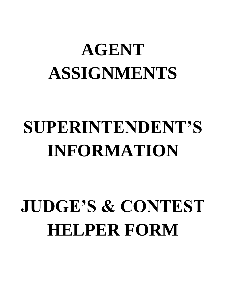# **AGENT ASSIGNMENTS**

# **SUPERINTENDENT'S INFORMATION**

# **JUDGE'S & CONTEST HELPER FORM**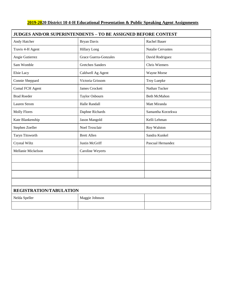# **2019-2020 District 10 4-H Educational Presentation & Public Speaking Agent Assignments**

| JUDGES AND/OR SUPERINTENDENTS - TO BE ASSIGNED BEFORE CONTEST |                              |                          |  |  |
|---------------------------------------------------------------|------------------------------|--------------------------|--|--|
| Andy Hatcher                                                  | <b>Bryan Davis</b>           | Rachel Bauer             |  |  |
| Travis 4-H Agent                                              | <b>Hillary Long</b>          | <b>Natalie Cervantes</b> |  |  |
| Angie Gutierrez                                               | <b>Grace Guerra-Gonzales</b> | David Rodriguez          |  |  |
| Sam Womble                                                    | <b>Gretchen Sanders</b>      | Chris Wiemers            |  |  |
| Elsie Lacy                                                    | Caldwell Ag Agent            | Wayne Morse              |  |  |
| Connie Sheppard                                               | Victoria Grissom             | Troy Luepke              |  |  |
| Comal FCH Agent                                               | <b>James Crockett</b>        | Nathan Tucker            |  |  |
| <b>Brad Roeder</b>                                            | Taylor Osbourn               | <b>Beth McMahon</b>      |  |  |
| Lauren Strom                                                  | <b>Halle Randall</b>         | Matt Miranda             |  |  |
| <b>Molly Flores</b>                                           | Daphne Richards              | Samantha Korzekwa        |  |  |
| Kate Blankenship                                              | <b>Jason Mangold</b>         | Kelli Lehman             |  |  |
| Stephen Zoeller                                               | Noel Troxclair               | Roy Walston              |  |  |
| <b>Taryn Titsworth</b>                                        | <b>Brett Allen</b>           | Sandra Kunkel            |  |  |
| Crystal Wiltz                                                 | Justin McGriff               | Pascual Hernandez        |  |  |
| Mellanie Mickelson                                            | Caroline Weyerts             |                          |  |  |
|                                                               |                              |                          |  |  |
|                                                               |                              |                          |  |  |
|                                                               |                              |                          |  |  |
|                                                               |                              |                          |  |  |
| REGISTRATION/TABULATION                                       |                              |                          |  |  |
| Nelda Speller                                                 | Maggie Johnson               |                          |  |  |
|                                                               |                              |                          |  |  |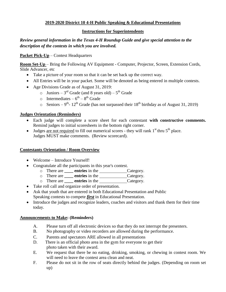# **2019-2020 District 10 4-H Public Speaking & Educational Presentations**

### **Instructions for Superintendents**

# *Review general information in the Texas 4-H Roundup Guide and give special attention to the description of the contests in which you are involved.*

**Packet Pick-Up** – Contest Headquarters

**Room Set-Up** – Bring the Following AV Equipment - Computer, Projector, Screen, Extension Cords, Slide Advancer, etc

- Take a picture of your room so that it can be set back up the correct way.
- All Entries will be in your packet. Some will be denoted as being entered in multiple contests.
- Age Divisions Grade as of August 31, 2019:
	- $\circ$  Juniors 3<sup>rd</sup> Grade (and 8 years old) 5<sup>th</sup> Grade
	- o Intermediates  $-6^{th} 8^{th}$  Grade
	- Seniors 9<sup>th</sup>-12<sup>th</sup> Grade (has not surpassed their  $18^{th}$  birthday as of August 31, 2019)

### **Judges Orientation (Reminders)**

- Each judge will complete a score sheet for each contestant **with constructive comments.**  Remind judges to initial scoresheets in the bottom right corner.
- $\bullet$  Judges are not required to fill out numerical scores they will rank 1<sup>st</sup> thru 5<sup>th</sup> place. Judges MUST make comments. (Review scorecard).

### **Contestants Orientation / Room Overview**

- Welcome Introduce Yourself!
- Congratulate all the participants in this year's contest.
	- o There are **\_\_\_\_ entries** in the Category.
	- o There are **\_\_\_\_\_ entries** in the **\_\_\_\_\_\_\_\_\_\_\_\_\_\_\_\_Category.**
	- o There are **\_\_\_\_ entries** in the Category.
- Take roll call and organize order of presentation.
- Ask that youth that are entered in both Educational Presentation and Public Speaking contests to compete *first* in Educational Presentation.
- Introduce the judges and recognize leaders, coaches and visitors and thank them for their time today.

### **Announcements to Make: (Reminders)**

- A. Please turn off all electronic devices so that they do not interrupt the presenters.
- B. No photography or video recorders are allowed during the performance.
- C. Parents and spectators ARE allowed in all presentations
- D. There is an official photo area in the gym for everyone to get their photo taken with their award.
- E. We request that there be no eating, drinking, smoking, or chewing in contest room. We will need to leave the contest area clean and neat.
- F. Please do not sit in the row of seats directly behind the judges. (Depending on room set up)